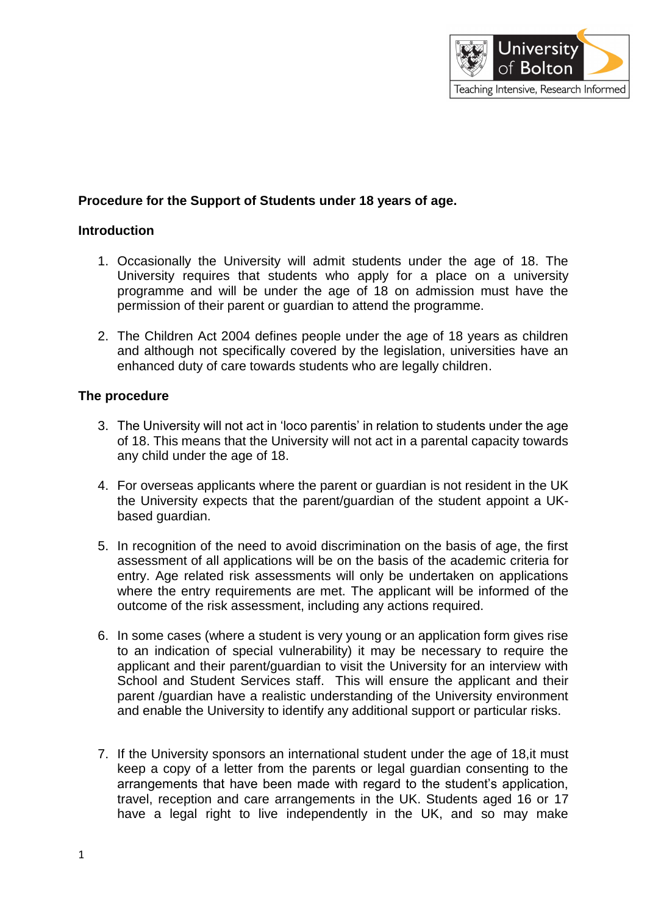

# **Procedure for the Support of Students under 18 years of age.**

#### **Introduction**

- 1. Occasionally the University will admit students under the age of 18. The University requires that students who apply for a place on a university programme and will be under the age of 18 on admission must have the permission of their parent or guardian to attend the programme.
- 2. The Children Act 2004 defines people under the age of 18 years as children and although not specifically covered by the legislation, universities have an enhanced duty of care towards students who are legally children.

### **The procedure**

- 3. The University will not act in 'loco parentis' in relation to students under the age of 18. This means that the University will not act in a parental capacity towards any child under the age of 18.
- 4. For overseas applicants where the parent or guardian is not resident in the UK the University expects that the parent/guardian of the student appoint a UKbased guardian.
- 5. In recognition of the need to avoid discrimination on the basis of age, the first assessment of all applications will be on the basis of the academic criteria for entry. Age related risk assessments will only be undertaken on applications where the entry requirements are met. The applicant will be informed of the outcome of the risk assessment, including any actions required.
- 6. In some cases (where a student is very young or an application form gives rise to an indication of special vulnerability) it may be necessary to require the applicant and their parent/guardian to visit the University for an interview with School and Student Services staff. This will ensure the applicant and their parent /guardian have a realistic understanding of the University environment and enable the University to identify any additional support or particular risks.
- 7. If the University sponsors an international student under the age of 18,it must keep a copy of a letter from the parents or legal guardian consenting to the arrangements that have been made with regard to the student's application, travel, reception and care arrangements in the UK. Students aged 16 or 17 have a legal right to live independently in the UK, and so may make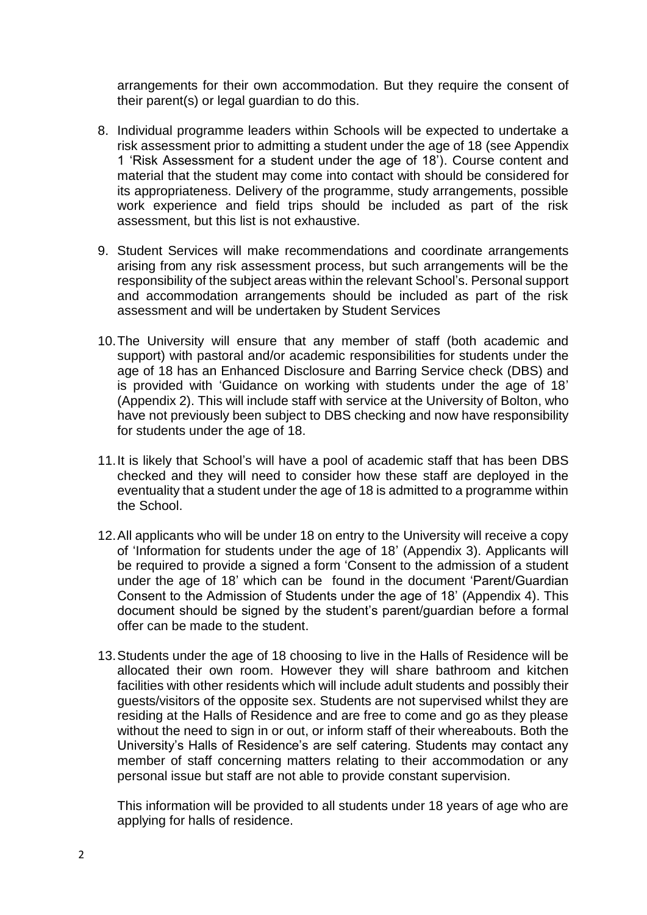arrangements for their own accommodation. But they require the consent of their parent(s) or legal guardian to do this.

- 8. Individual programme leaders within Schools will be expected to undertake a risk assessment prior to admitting a student under the age of 18 (see Appendix 1 'Risk Assessment for a student under the age of 18'). Course content and material that the student may come into contact with should be considered for its appropriateness. Delivery of the programme, study arrangements, possible work experience and field trips should be included as part of the risk assessment, but this list is not exhaustive.
- 9. Student Services will make recommendations and coordinate arrangements arising from any risk assessment process, but such arrangements will be the responsibility of the subject areas within the relevant School's. Personal support and accommodation arrangements should be included as part of the risk assessment and will be undertaken by Student Services
- 10. The University will ensure that any member of staff (both academic and support) with pastoral and/or academic responsibilities for students under the age of 18 has an Enhanced Disclosure and Barring Service check (DBS) and is provided with 'Guidance on working with students under the age of 18' (Appendix 2). This will include staff with service at the University of Bolton, who have not previously been subject to DBS checking and now have responsibility for students under the age of 18.
- 11. It is likely that School's will have a pool of academic staff that has been DBS checked and they will need to consider how these staff are deployed in the eventuality that a student under the age of 18 is admitted to a programme within the School.
- 12. All applicants who will be under 18 on entry to the University will receive a copy of 'Information for students under the age of 18' (Appendix 3). Applicants will be required to provide a signed a form 'Consent to the admission of a student under the age of 18' which can be found in the document 'Parent/Guardian Consent to the Admission of Students under the age of 18' (Appendix 4). This document should be signed by the student's parent/guardian before a formal offer can be made to the student.
- 13. Students under the age of 18 choosing to live in the Halls of Residence will be allocated their own room. However they will share bathroom and kitchen facilities with other residents which will include adult students and possibly their guests/visitors of the opposite sex. Students are not supervised whilst they are residing at the Halls of Residence and are free to come and go as they please without the need to sign in or out, or inform staff of their whereabouts. Both the University's Halls of Residence's are self catering. Students may contact any member of staff concerning matters relating to their accommodation or any personal issue but staff are not able to provide constant supervision.

This information will be provided to all students under 18 years of age who are applying for halls of residence.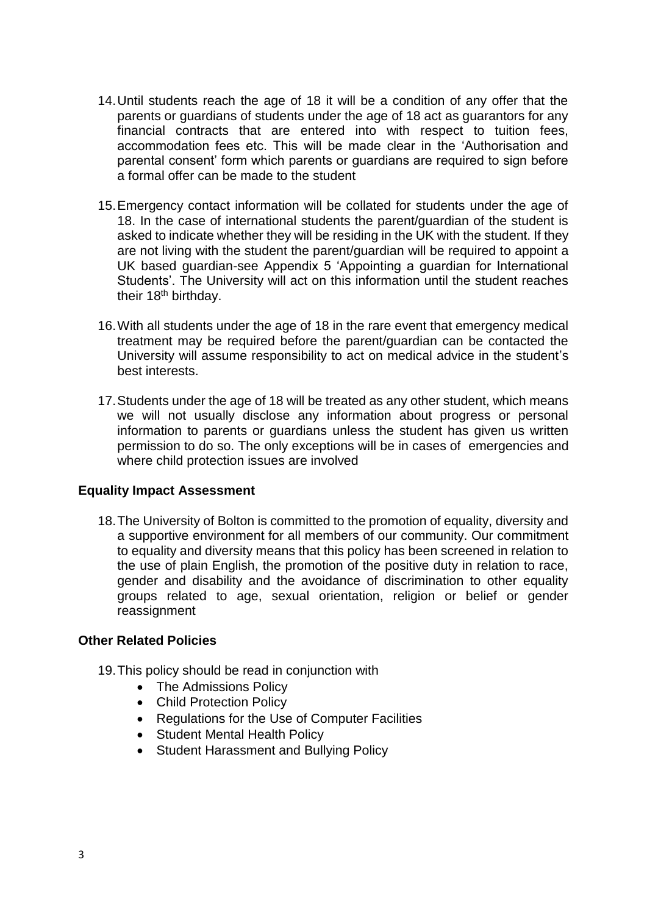- 14. Until students reach the age of 18 it will be a condition of any offer that the parents or guardians of students under the age of 18 act as guarantors for any financial contracts that are entered into with respect to tuition fees, accommodation fees etc. This will be made clear in the 'Authorisation and parental consent' form which parents or guardians are required to sign before a formal offer can be made to the student
- 15. Emergency contact information will be collated for students under the age of 18. In the case of international students the parent/guardian of the student is asked to indicate whether they will be residing in the UK with the student. If they are not living with the student the parent/guardian will be required to appoint a UK based guardian-see Appendix 5 'Appointing a guardian for International Students'. The University will act on this information until the student reaches their 18<sup>th</sup> birthday.
- 16. With all students under the age of 18 in the rare event that emergency medical treatment may be required before the parent/guardian can be contacted the University will assume responsibility to act on medical advice in the student's best interests.
- 17. Students under the age of 18 will be treated as any other student, which means we will not usually disclose any information about progress or personal information to parents or guardians unless the student has given us written permission to do so. The only exceptions will be in cases of emergencies and where child protection issues are involved

### **Equality Impact Assessment**

18. The University of Bolton is committed to the promotion of equality, diversity and a supportive environment for all members of our community. Our commitment to equality and diversity means that this policy has been screened in relation to the use of plain English, the promotion of the positive duty in relation to race, gender and disability and the avoidance of discrimination to other equality groups related to age, sexual orientation, religion or belief or gender reassignment

### **Other Related Policies**

- 19. This policy should be read in conjunction with
	- The Admissions Policy
	- Child Protection Policy
	- Regulations for the Use of Computer Facilities
	- Student Mental Health Policy
	- Student Harassment and Bullving Policy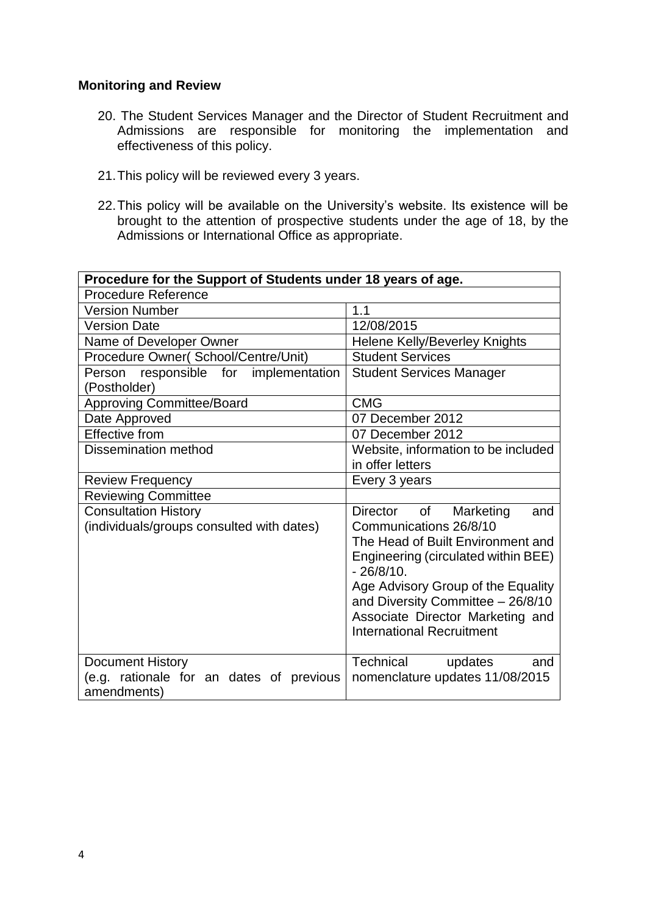#### **Monitoring and Review**

- 20. The Student Services Manager and the Director of Student Recruitment and Admissions are responsible for monitoring the implementation and effectiveness of this policy.
- 21. This policy will be reviewed every 3 years.
- 22.This policy will be available on the University's website. Its existence will be brought to the attention of prospective students under the age of 18, by the Admissions or International Office as appropriate.

| Procedure for the Support of Students under 18 years of age. |                                                     |  |
|--------------------------------------------------------------|-----------------------------------------------------|--|
| <b>Procedure Reference</b>                                   |                                                     |  |
| <b>Version Number</b>                                        | 1.1                                                 |  |
| <b>Version Date</b>                                          | 12/08/2015                                          |  |
| Name of Developer Owner                                      | Helene Kelly/Beverley Knights                       |  |
| Procedure Owner(School/Centre/Unit)                          | <b>Student Services</b>                             |  |
| Person responsible for implementation                        | <b>Student Services Manager</b>                     |  |
| (Postholder)                                                 |                                                     |  |
| <b>Approving Committee/Board</b>                             | <b>CMG</b>                                          |  |
| Date Approved                                                | 07 December 2012                                    |  |
| <b>Effective from</b>                                        | 07 December 2012                                    |  |
| <b>Dissemination method</b>                                  | Website, information to be included                 |  |
|                                                              | in offer letters                                    |  |
| <b>Review Frequency</b>                                      | Every 3 years                                       |  |
| <b>Reviewing Committee</b>                                   |                                                     |  |
| <b>Consultation History</b>                                  | Director of<br>Marketing<br>and                     |  |
| (individuals/groups consulted with dates)                    | Communications 26/8/10                              |  |
|                                                              | The Head of Built Environment and                   |  |
|                                                              | Engineering (circulated within BEE)<br>$-26/8/10$ . |  |
|                                                              | Age Advisory Group of the Equality                  |  |
|                                                              | and Diversity Committee - 26/8/10                   |  |
|                                                              | Associate Director Marketing and                    |  |
|                                                              | <b>International Recruitment</b>                    |  |
|                                                              |                                                     |  |
| <b>Document History</b>                                      | Technical<br>updates<br>and                         |  |
| (e.g. rationale for an dates of previous                     | nomenclature updates 11/08/2015                     |  |
| amendments)                                                  |                                                     |  |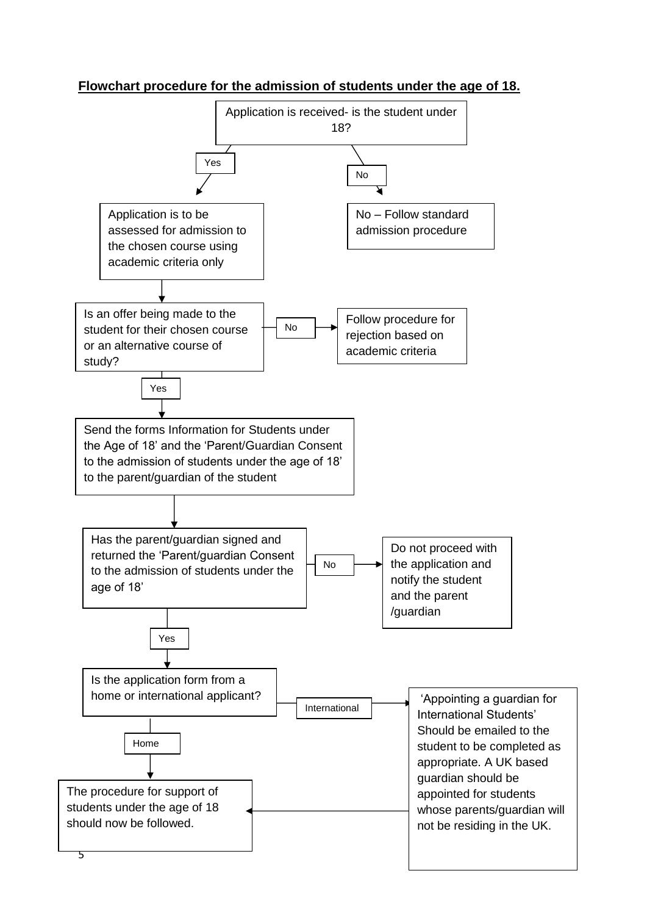# **Flowchart procedure for the admission of students under the age of 18.**

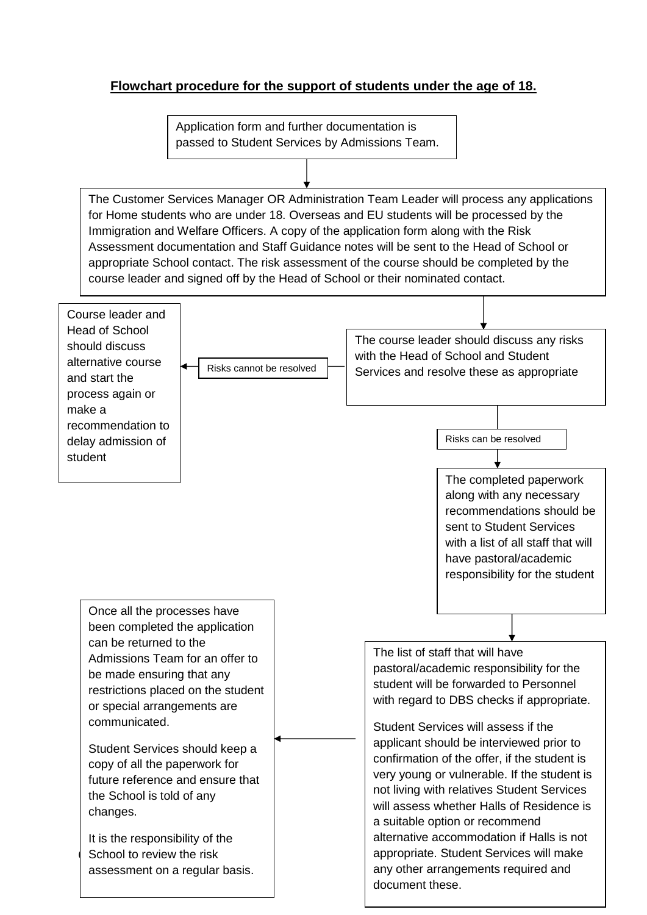# **Flowchart procedure for the support of students under the age of 18.**

Application form and further documentation is passed to Student Services by Admissions Team.

The Customer Services Manager OR Administration Team Leader will process any applications for Home students who are under 18. Overseas and EU students will be processed by the Immigration and Welfare Officers. A copy of the application form along with the Risk Assessment documentation and Staff Guidance notes will be sent to the Head of School or appropriate School contact. The risk assessment of the course should be completed by the course leader and signed off by the Head of School or their nominated contact.

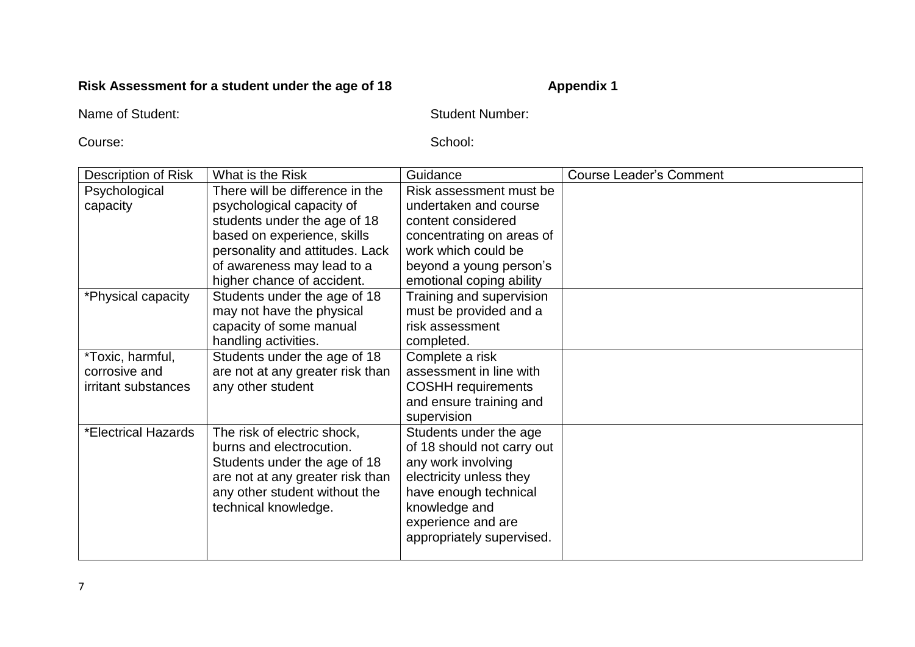# **Risk Assessment for a student under the age of 18** Appendix 1

Name of Student: Student: Student Number: Student Number: Student Number:

Course: School: School: School: School: School: School: School: School: School: School: School: School: School: School: School: School: School: School: School: School: School: School: School: School: School: School: School

| Description of Risk | What is the Risk                 | Guidance                   | <b>Course Leader's Comment</b> |
|---------------------|----------------------------------|----------------------------|--------------------------------|
| Psychological       | There will be difference in the  | Risk assessment must be    |                                |
| capacity            | psychological capacity of        | undertaken and course      |                                |
|                     | students under the age of 18     | content considered         |                                |
|                     | based on experience, skills      | concentrating on areas of  |                                |
|                     | personality and attitudes. Lack  | work which could be        |                                |
|                     | of awareness may lead to a       | beyond a young person's    |                                |
|                     | higher chance of accident.       | emotional coping ability   |                                |
| *Physical capacity  | Students under the age of 18     | Training and supervision   |                                |
|                     | may not have the physical        | must be provided and a     |                                |
|                     | capacity of some manual          | risk assessment            |                                |
|                     | handling activities.             | completed.                 |                                |
| *Toxic, harmful,    | Students under the age of 18     | Complete a risk            |                                |
| corrosive and       | are not at any greater risk than | assessment in line with    |                                |
| irritant substances | any other student                | <b>COSHH</b> requirements  |                                |
|                     |                                  | and ensure training and    |                                |
|                     |                                  | supervision                |                                |
| *Electrical Hazards | The risk of electric shock,      | Students under the age     |                                |
|                     | burns and electrocution.         | of 18 should not carry out |                                |
|                     | Students under the age of 18     | any work involving         |                                |
|                     | are not at any greater risk than | electricity unless they    |                                |
|                     | any other student without the    | have enough technical      |                                |
|                     | technical knowledge.             | knowledge and              |                                |
|                     |                                  | experience and are         |                                |
|                     |                                  | appropriately supervised.  |                                |
|                     |                                  |                            |                                |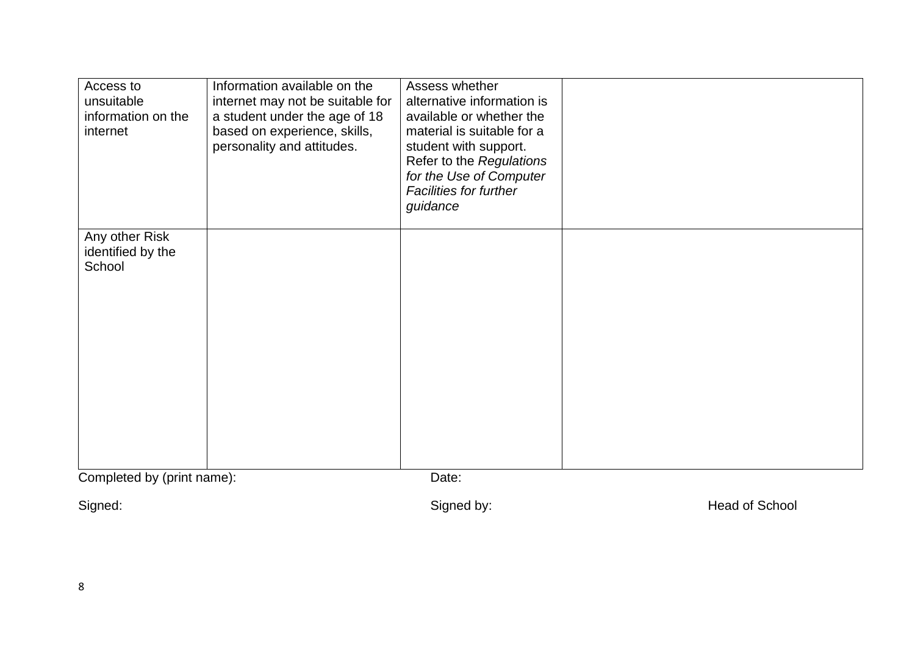| Any other Risk<br>identified by the<br>School | Access to<br>unsuitable<br>information on the<br>internet | Information available on the<br>internet may not be suitable for<br>a student under the age of 18<br>based on experience, skills,<br>personality and attitudes. | Assess whether<br>alternative information is<br>available or whether the<br>material is suitable for a<br>student with support.<br>Refer to the Regulations<br>for the Use of Computer<br><b>Facilities for further</b><br>guidance |  |
|-----------------------------------------------|-----------------------------------------------------------|-----------------------------------------------------------------------------------------------------------------------------------------------------------------|-------------------------------------------------------------------------------------------------------------------------------------------------------------------------------------------------------------------------------------|--|
| Completed by (print name):<br>Date:           |                                                           |                                                                                                                                                                 |                                                                                                                                                                                                                                     |  |

Signed: Signed by: Signed by: Signed by: Signed School Beau and School Beau and School Beau and School Beau and School Beau and School Beau and School Beau and School Beau and School Beau and School Beau and School Beau an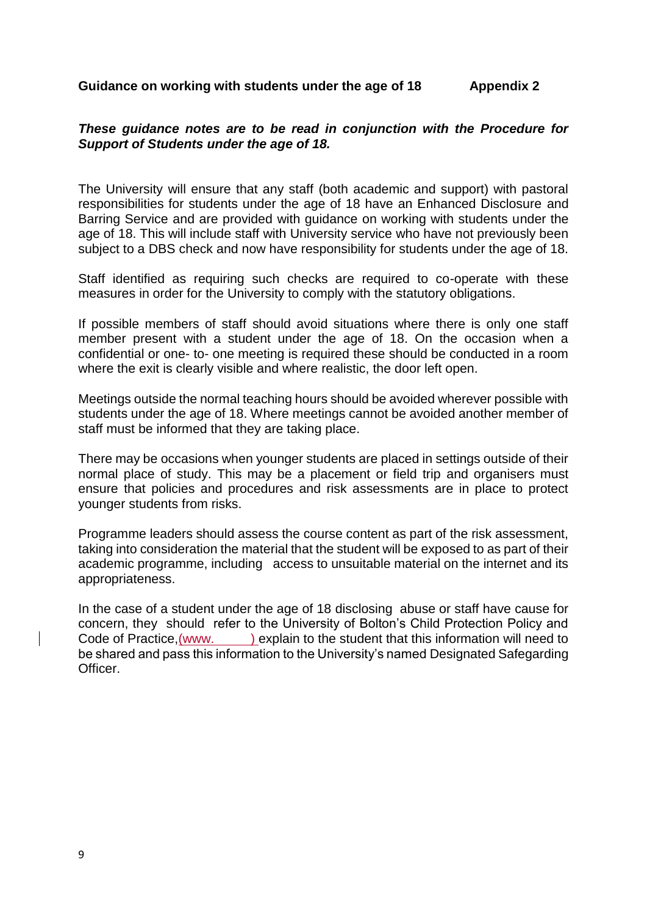#### Guidance on working with students under the age of 18 **Appendix 2**

#### *These guidance notes are to be read in conjunction with the Procedure for Support of Students under the age of 18.*

The University will ensure that any staff (both academic and support) with pastoral responsibilities for students under the age of 18 have an Enhanced Disclosure and Barring Service and are provided with guidance on working with students under the age of 18. This will include staff with University service who have not previously been subject to a DBS check and now have responsibility for students under the age of 18.

Staff identified as requiring such checks are required to co-operate with these measures in order for the University to comply with the statutory obligations.

If possible members of staff should avoid situations where there is only one staff member present with a student under the age of 18. On the occasion when a confidential or one- to- one meeting is required these should be conducted in a room where the exit is clearly visible and where realistic, the door left open.

Meetings outside the normal teaching hours should be avoided wherever possible with students under the age of 18. Where meetings cannot be avoided another member of staff must be informed that they are taking place.

There may be occasions when younger students are placed in settings outside of their normal place of study. This may be a placement or field trip and organisers must ensure that policies and procedures and risk assessments are in place to protect younger students from risks.

Programme leaders should assess the course content as part of the risk assessment, taking into consideration the material that the student will be exposed to as part of their academic programme, including access to unsuitable material on the internet and its appropriateness.

In the case of a student under the age of 18 disclosing abuse or staff have cause for concern, they should refer to the University of Bolton's Child Protection Policy and Code of Practice, (www. ) explain to the student that this information will need to be shared and pass this information to the University's named Designated Safegarding Officer.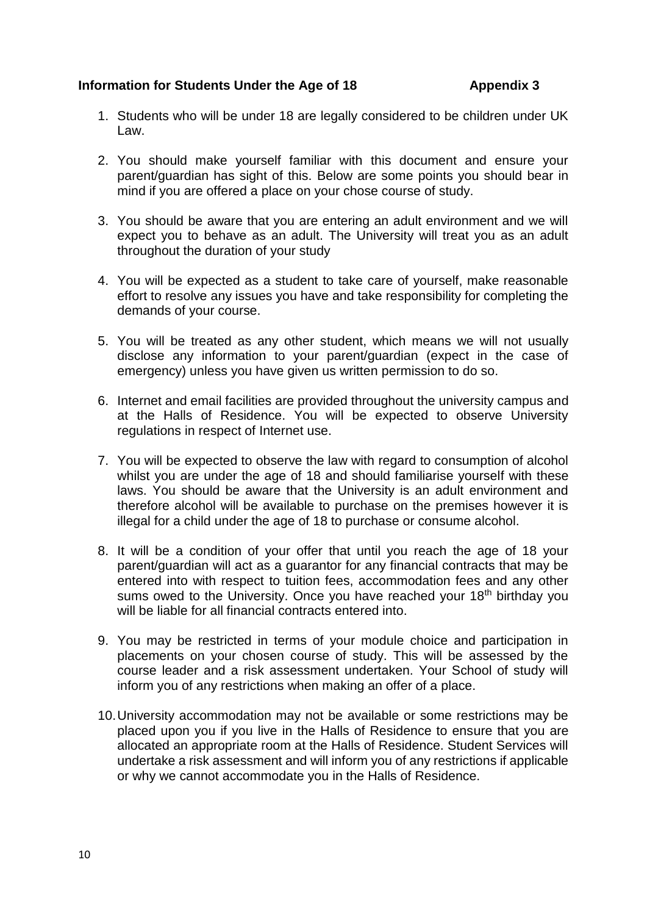### **Information for Students Under the Age of 18 Appendix 3**

- 1. Students who will be under 18 are legally considered to be children under UK Law.
- 2. You should make yourself familiar with this document and ensure your parent/guardian has sight of this. Below are some points you should bear in mind if you are offered a place on your chose course of study.
- 3. You should be aware that you are entering an adult environment and we will expect you to behave as an adult. The University will treat you as an adult throughout the duration of your study
- 4. You will be expected as a student to take care of yourself, make reasonable effort to resolve any issues you have and take responsibility for completing the demands of your course.
- 5. You will be treated as any other student, which means we will not usually disclose any information to your parent/guardian (expect in the case of emergency) unless you have given us written permission to do so.
- 6. Internet and email facilities are provided throughout the university campus and at the Halls of Residence. You will be expected to observe University regulations in respect of Internet use.
- 7. You will be expected to observe the law with regard to consumption of alcohol whilst you are under the age of 18 and should familiarise yourself with these laws. You should be aware that the University is an adult environment and therefore alcohol will be available to purchase on the premises however it is illegal for a child under the age of 18 to purchase or consume alcohol.
- 8. It will be a condition of your offer that until you reach the age of 18 your parent/guardian will act as a guarantor for any financial contracts that may be entered into with respect to tuition fees, accommodation fees and any other sums owed to the University. Once you have reached your 18<sup>th</sup> birthday you will be liable for all financial contracts entered into.
- 9. You may be restricted in terms of your module choice and participation in placements on your chosen course of study. This will be assessed by the course leader and a risk assessment undertaken. Your School of study will inform you of any restrictions when making an offer of a place.
- 10. University accommodation may not be available or some restrictions may be placed upon you if you live in the Halls of Residence to ensure that you are allocated an appropriate room at the Halls of Residence. Student Services will undertake a risk assessment and will inform you of any restrictions if applicable or why we cannot accommodate you in the Halls of Residence.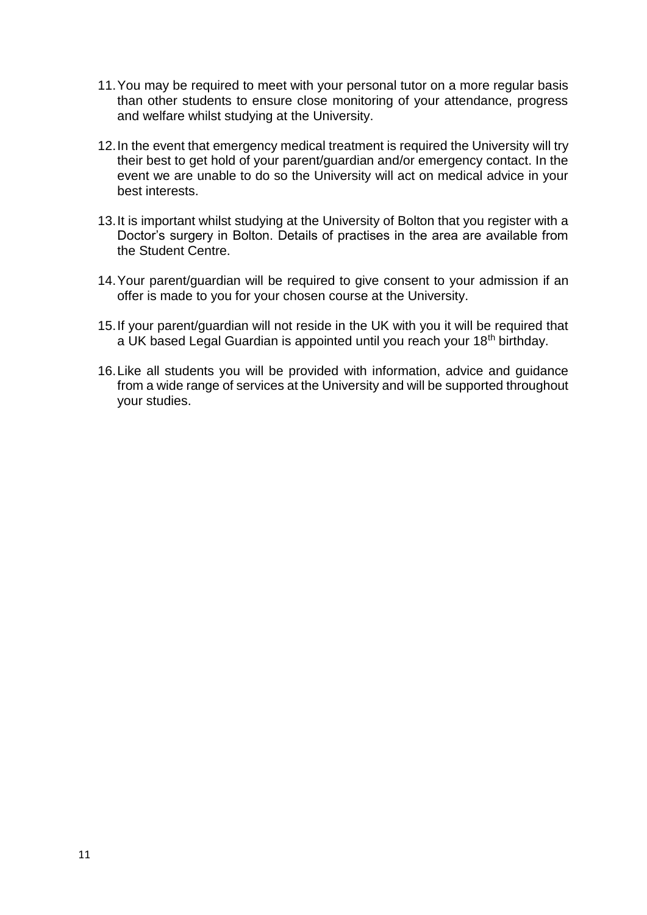- 11. You may be required to meet with your personal tutor on a more regular basis than other students to ensure close monitoring of your attendance, progress and welfare whilst studying at the University.
- 12. In the event that emergency medical treatment is required the University will try their best to get hold of your parent/guardian and/or emergency contact. In the event we are unable to do so the University will act on medical advice in your best interests.
- 13. It is important whilst studying at the University of Bolton that you register with a Doctor's surgery in Bolton. Details of practises in the area are available from the Student Centre.
- 14. Your parent/guardian will be required to give consent to your admission if an offer is made to you for your chosen course at the University.
- 15. If your parent/guardian will not reside in the UK with you it will be required that a UK based Legal Guardian is appointed until you reach your 18<sup>th</sup> birthday.
- 16. Like all students you will be provided with information, advice and guidance from a wide range of services at the University and will be supported throughout your studies.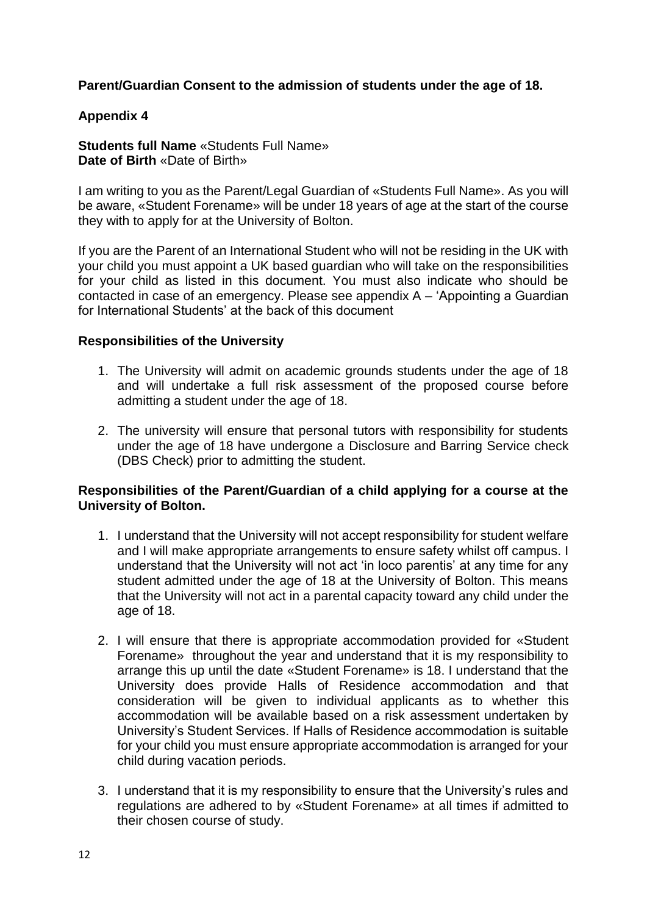# **Parent/Guardian Consent to the admission of students under the age of 18.**

### **Appendix 4**

**Students full Name** «Students Full Name» **Date of Birth** «Date of Birth»

I am writing to you as the Parent/Legal Guardian of «Students Full Name». As you will be aware, «Student Forename» will be under 18 years of age at the start of the course they with to apply for at the University of Bolton.

If you are the Parent of an International Student who will not be residing in the UK with your child you must appoint a UK based guardian who will take on the responsibilities for your child as listed in this document. You must also indicate who should be contacted in case of an emergency. Please see appendix A – 'Appointing a Guardian for International Students' at the back of this document

### **Responsibilities of the University**

- 1. The University will admit on academic grounds students under the age of 18 and will undertake a full risk assessment of the proposed course before admitting a student under the age of 18.
- 2. The university will ensure that personal tutors with responsibility for students under the age of 18 have undergone a Disclosure and Barring Service check (DBS Check) prior to admitting the student.

#### **Responsibilities of the Parent/Guardian of a child applying for a course at the University of Bolton.**

- 1. I understand that the University will not accept responsibility for student welfare and I will make appropriate arrangements to ensure safety whilst off campus. I understand that the University will not act 'in loco parentis' at any time for any student admitted under the age of 18 at the University of Bolton. This means that the University will not act in a parental capacity toward any child under the age of 18.
- 2. I will ensure that there is appropriate accommodation provided for «Student Forename» throughout the year and understand that it is my responsibility to arrange this up until the date «Student Forename» is 18. I understand that the University does provide Halls of Residence accommodation and that consideration will be given to individual applicants as to whether this accommodation will be available based on a risk assessment undertaken by University's Student Services. If Halls of Residence accommodation is suitable for your child you must ensure appropriate accommodation is arranged for your child during vacation periods.
- 3. I understand that it is my responsibility to ensure that the University's rules and regulations are adhered to by «Student Forename» at all times if admitted to their chosen course of study.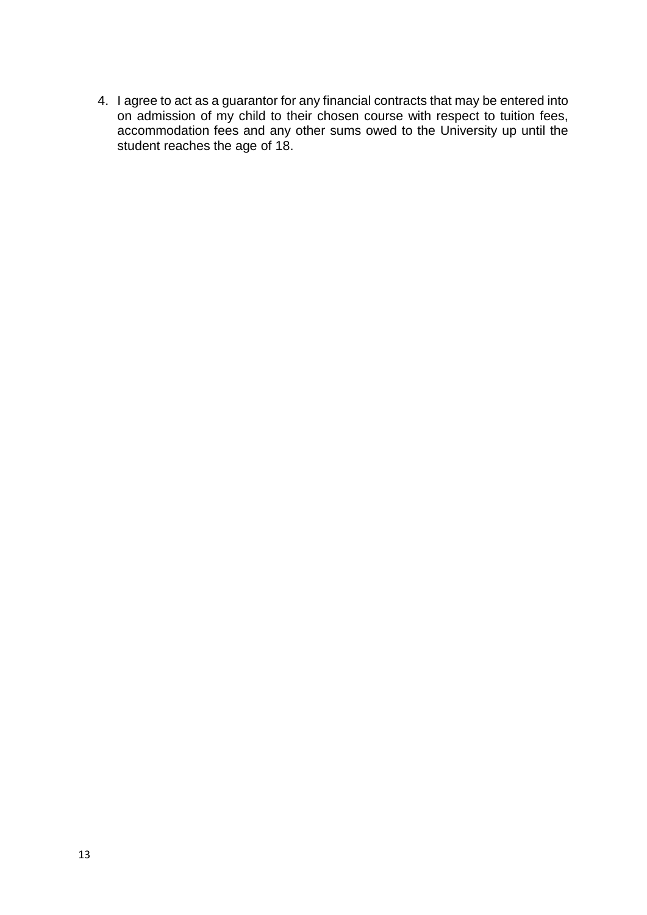4. I agree to act as a guarantor for any financial contracts that may be entered into on admission of my child to their chosen course with respect to tuition fees, accommodation fees and any other sums owed to the University up until the student reaches the age of 18.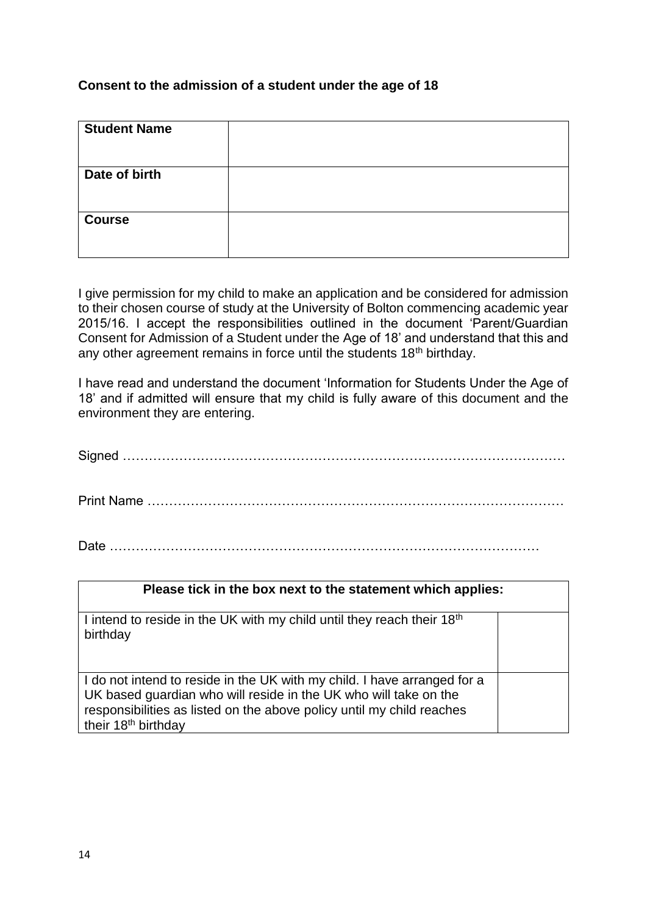# **Consent to the admission of a student under the age of 18**

| <b>Student Name</b> |  |
|---------------------|--|
| Date of birth       |  |
| <b>Course</b>       |  |

I give permission for my child to make an application and be considered for admission to their chosen course of study at the University of Bolton commencing academic year 2015/16. I accept the responsibilities outlined in the document 'Parent/Guardian Consent for Admission of a Student under the Age of 18' and understand that this and any other agreement remains in force until the students 18<sup>th</sup> birthday.

I have read and understand the document 'Information for Students Under the Age of 18' and if admitted will ensure that my child is fully aware of this document and the environment they are entering.

Signed ………………………………………………………………………………………… Print Name ……………………………………………………………………………………

Date ………………………………………………………………………………………

| Please tick in the box next to the statement which applies:                                                                                                                                                                                              |  |
|----------------------------------------------------------------------------------------------------------------------------------------------------------------------------------------------------------------------------------------------------------|--|
| I intend to reside in the UK with my child until they reach their 18 <sup>th</sup><br>birthday                                                                                                                                                           |  |
| I do not intend to reside in the UK with my child. I have arranged for a<br>UK based guardian who will reside in the UK who will take on the<br>responsibilities as listed on the above policy until my child reaches<br>their 18 <sup>th</sup> birthday |  |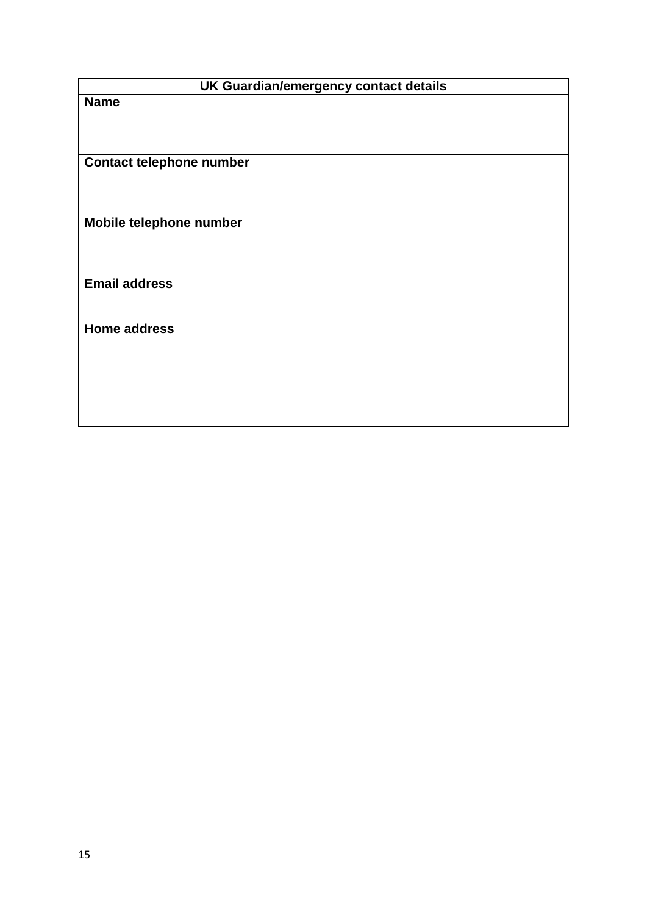| UK Guardian/emergency contact details |  |
|---------------------------------------|--|
| <b>Name</b>                           |  |
| <b>Contact telephone number</b>       |  |
| Mobile telephone number               |  |
| <b>Email address</b>                  |  |
| <b>Home address</b>                   |  |